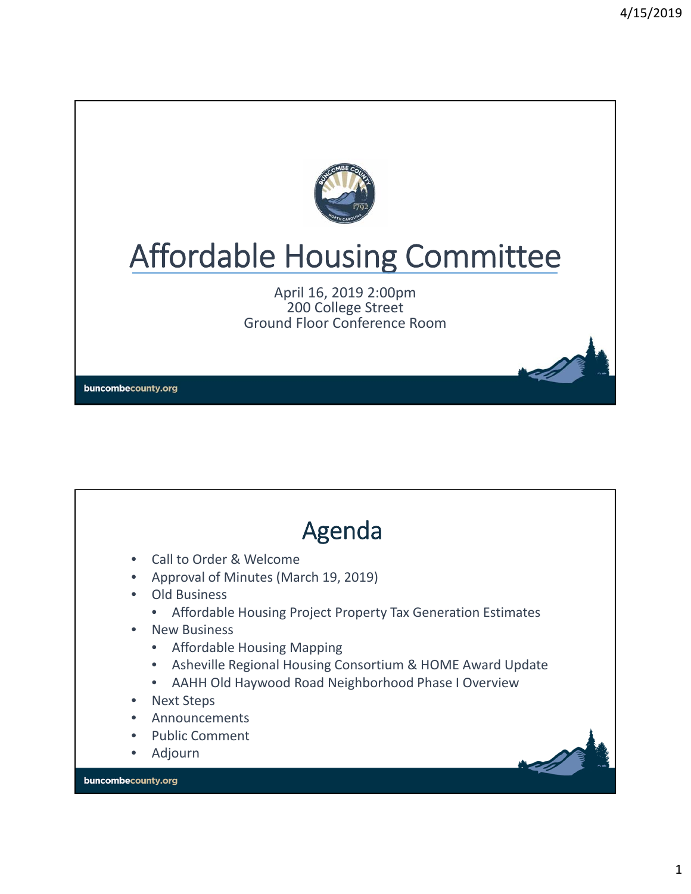

# Affordable Housing Committee

April 16, 2019 2:00pm 200 College Street Ground Floor Conference Room

buncombecounty.org

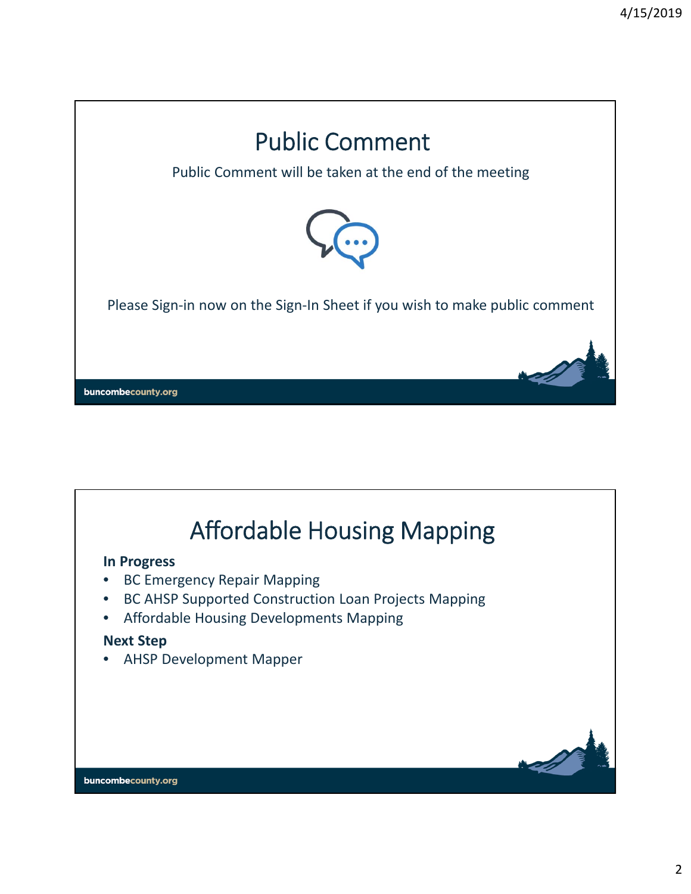

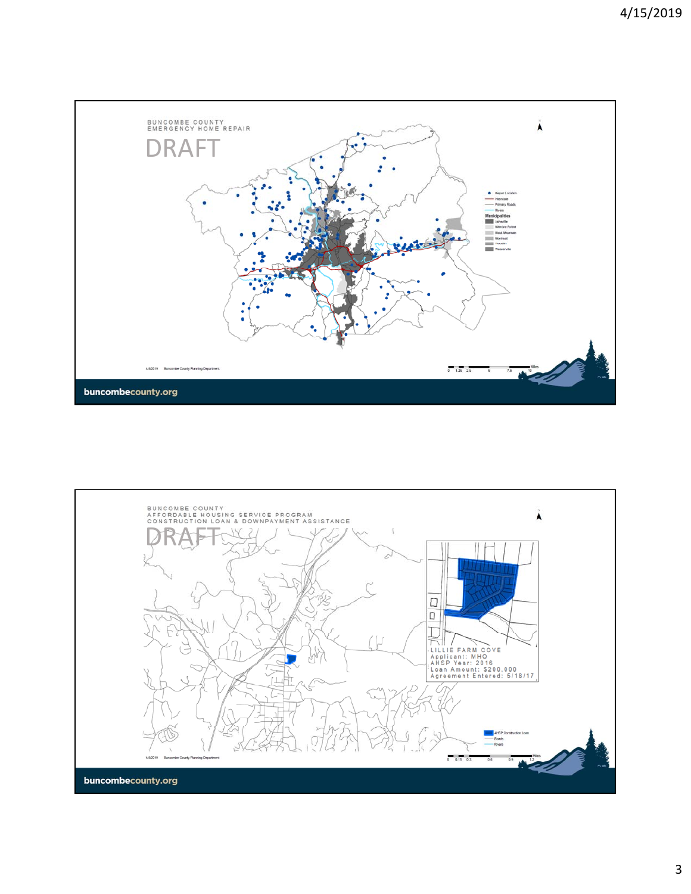

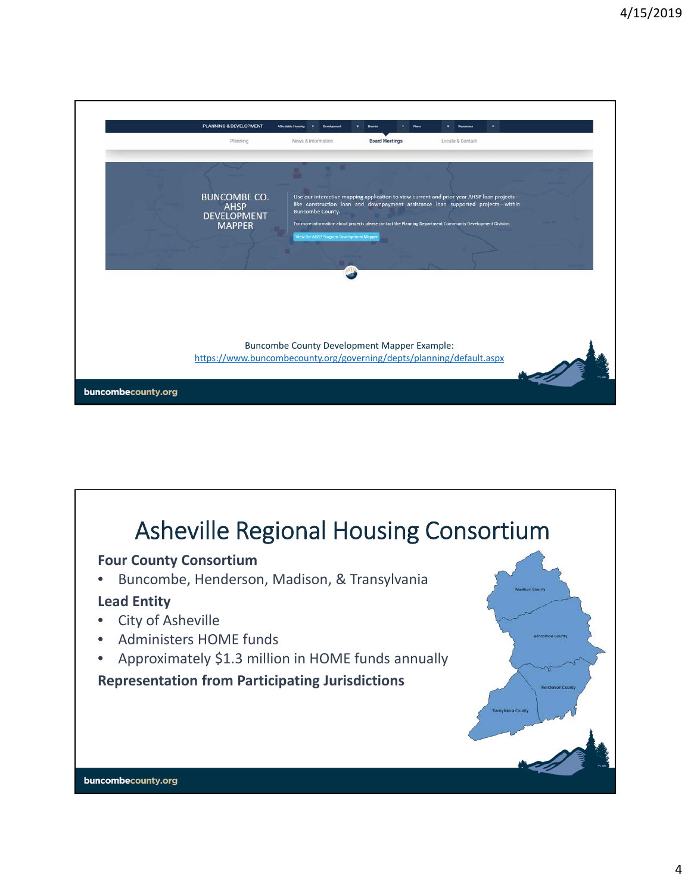

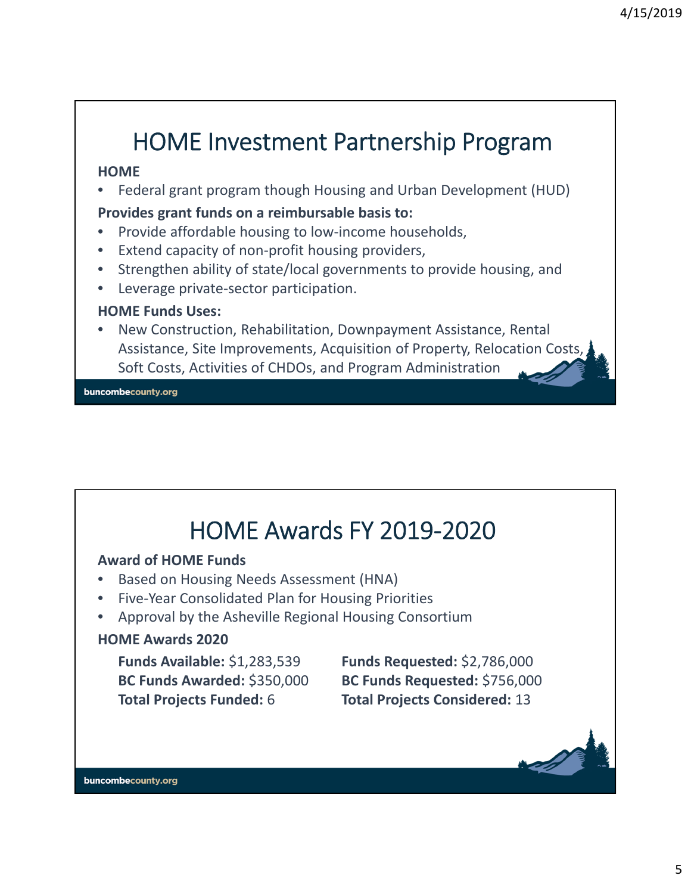# HOME Investment Partnership Program

#### **HOME**

• Federal grant program though Housing and Urban Development (HUD)

#### **Provides grant funds on a reimbursable basis to:**

- Provide affordable housing to low‐income households,
- Extend capacity of non-profit housing providers,
- Strengthen ability of state/local governments to provide housing, and
- Leverage private‐sector participation.

#### **HOME Funds Uses:**

• New Construction, Rehabilitation, Downpayment Assistance, Rental Assistance, Site Improvements, Acquisition of Property, Relocation Costs, Soft Costs, Activities of CHDOs, and Program Administration

buncombecounty.org

### HOME Awards FY 2019‐2020

#### **Award of HOME Funds**

- Based on Housing Needs Assessment (HNA)
- Five‐Year Consolidated Plan for Housing Priorities
- Approval by the Asheville Regional Housing Consortium

#### **HOME Awards 2020**

**Funds Available:** \$1,283,539 **Funds Requested:** \$2,786,000 **Total Projects Funded:** 6 **Total Projects Considered:** 13

**BC Funds Awarded:** \$350,000 **BC Funds Requested:** \$756,000

buncombecounty.org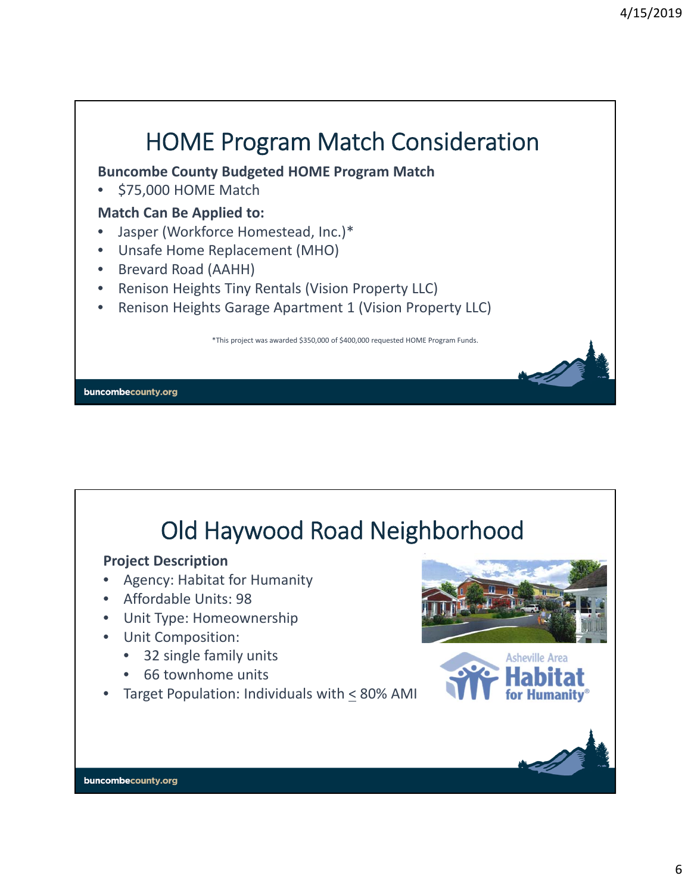

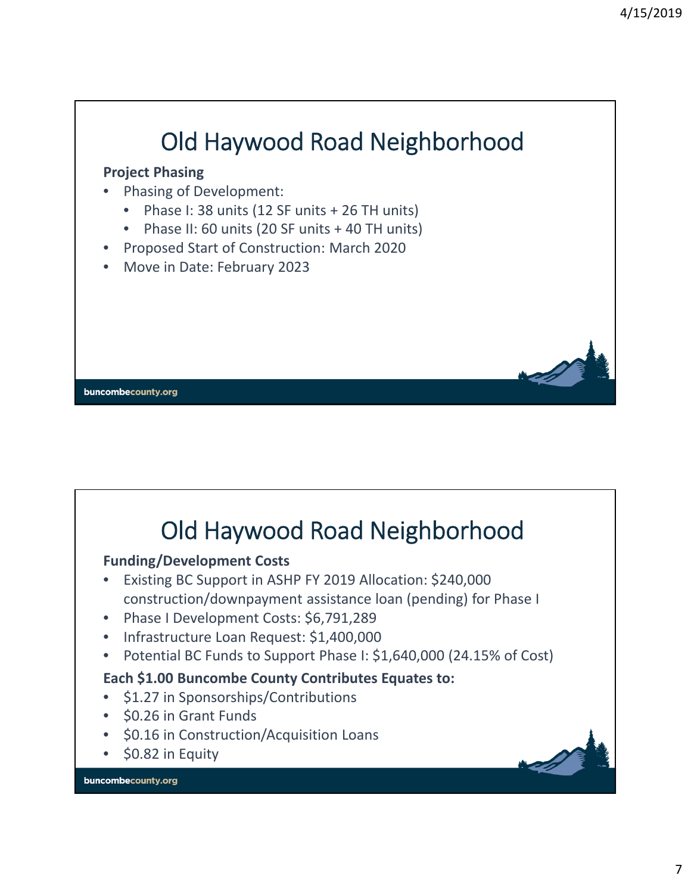

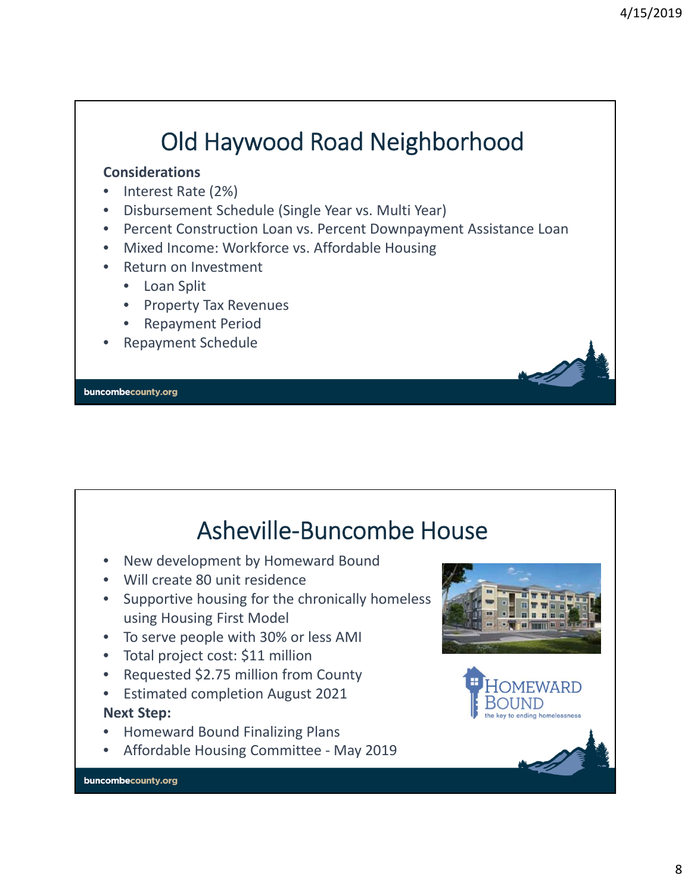# Old Haywood Road Neighborhood

#### **Considerations**

- Interest Rate (2%)
- Disbursement Schedule (Single Year vs. Multi Year)
- Percent Construction Loan vs. Percent Downpayment Assistance Loan
- Mixed Income: Workforce vs. Affordable Housing
- Return on Investment
	- Loan Split
	- Property Tax Revenues
	- Repayment Period
- Repayment Schedule

buncombecounty.org

### Asheville‐Buncombe House

- New development by Homeward Bound
- Will create 80 unit residence
- Supportive housing for the chronically homeless using Housing First Model
- To serve people with 30% or less AMI
- Total project cost: \$11 million
- Requested \$2.75 million from County
- Estimated completion August 2021 **Next Step:**
- Homeward Bound Finalizing Plans
- Affordable Housing Committee May 2019



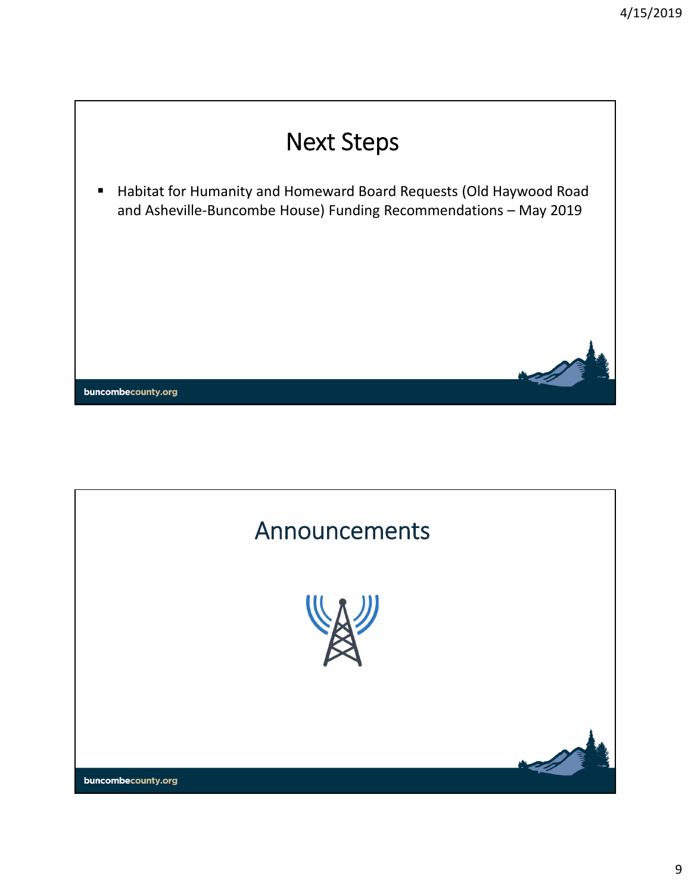